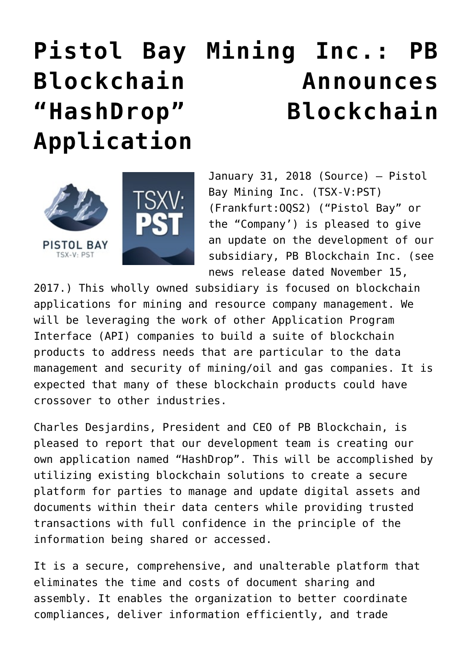# **[Pistol Bay Mining Inc.: PB](https://investorintel.com/markets/technology/technology-news/pistol-bay-mining-inc-pb-blockchain-announces-hashdrop-blockchain-application/) [Blockchain Announces](https://investorintel.com/markets/technology/technology-news/pistol-bay-mining-inc-pb-blockchain-announces-hashdrop-blockchain-application/) ["HashDrop" Blockchain](https://investorintel.com/markets/technology/technology-news/pistol-bay-mining-inc-pb-blockchain-announces-hashdrop-blockchain-application/) [Application](https://investorintel.com/markets/technology/technology-news/pistol-bay-mining-inc-pb-blockchain-announces-hashdrop-blockchain-application/)**



January 31, 2018 [\(Source](https://investorintel.com/iintel-members/pistol-bay-mining-inc/)) — Pistol Bay Mining Inc. (TSX-V:[PST](http://www.globenewswire.com/News/Listing?symbol=PST&exchange=15)) (Frankfurt[:OQS2\)](http://www.globenewswire.com/News/Listing?symbol=OQS2&exchange=9) ("Pistol Bay" or the "Company') is pleased to give an update on the development of our subsidiary, PB Blockchain Inc. (see news release dated November 15,

2017.) This wholly owned subsidiary is focused on blockchain applications for mining and resource company management. We will be leveraging the work of other Application Program Interface (API) companies to build a suite of blockchain products to address needs that are particular to the data management and security of mining/oil and gas companies. It is expected that many of these blockchain products could have crossover to other industries.

Charles Desjardins, President and CEO of PB Blockchain, is pleased to report that our development team is creating our own application named "HashDrop". This will be accomplished by utilizing existing blockchain solutions to create a secure platform for parties to manage and update digital assets and documents within their data centers while providing trusted transactions with full confidence in the principle of the information being shared or accessed.

It is a secure, comprehensive, and unalterable platform that eliminates the time and costs of document sharing and assembly. It enables the organization to better coordinate compliances, deliver information efficiently, and trade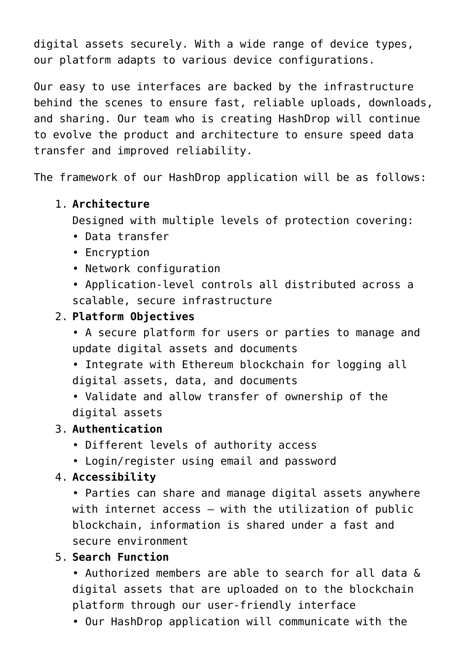digital assets securely. With a wide range of device types, our platform adapts to various device configurations.

Our easy to use interfaces are backed by the infrastructure behind the scenes to ensure fast, reliable uploads, downloads, and sharing. Our team who is creating HashDrop will continue to evolve the product and architecture to ensure speed data transfer and improved reliability.

The framework of our HashDrop application will be as follows:

# 1. **Architecture**

Designed with multiple levels of protection covering:

- Data transfer
- Encryption
- Network configuration
- Application-level controls all distributed across a scalable, secure infrastructure

# 2. **Platform Objectives**

• A secure platform for users or parties to manage and update digital assets and documents

• Integrate with Ethereum blockchain for logging all digital assets, data, and documents

• Validate and allow transfer of ownership of the digital assets

# 3. **Authentication**

- Different levels of authority access
- Login/register using email and password

# 4. **Accessibility**

• Parties can share and manage digital assets anywhere with internet access – with the utilization of public blockchain, information is shared under a fast and secure environment

# 5. **Search Function**

• Authorized members are able to search for all data & digital assets that are uploaded on to the blockchain platform through our user-friendly interface

• Our HashDrop application will communicate with the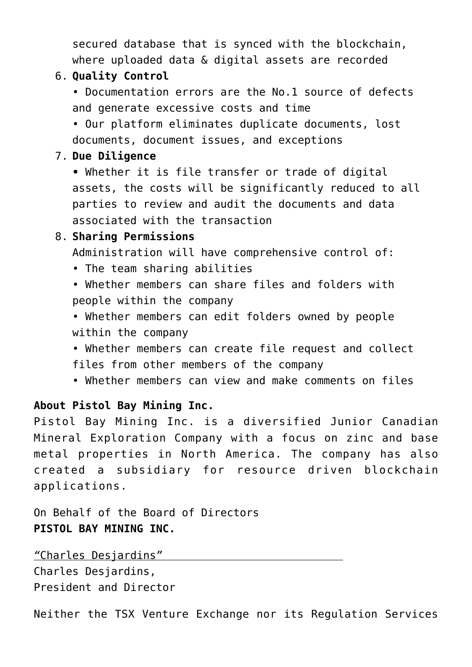secured database that is synced with the blockchain, where uploaded data & digital assets are recorded

#### 6. **Quality Control**

• Documentation errors are the No.1 source of defects and generate excessive costs and time

• Our platform eliminates duplicate documents, lost documents, document issues, and exceptions

#### 7. **Due Diligence**

**•** Whether it is file transfer or trade of digital assets, the costs will be significantly reduced to all parties to review and audit the documents and data associated with the transaction

#### 8. **Sharing Permissions**

Administration will have comprehensive control of:

- The team sharing abilities
- Whether members can share files and folders with people within the company
- Whether members can edit folders owned by people within the company
- Whether members can create file request and collect files from other members of the company
- Whether members can view and make comments on files

# **About Pistol Bay Mining Inc.**

Pistol Bay Mining Inc. is a diversified Junior Canadian Mineral Exploration Company with a focus on zinc and base metal properties in North America. The company has also created a subsidiary for resource driven blockchain applications.

On Behalf of the Board of Directors **PISTOL BAY MINING INC.**

*"*Charles Desjardins*"*  Charles Desjardins, President and Director

Neither the TSX Venture Exchange nor its Regulation Services